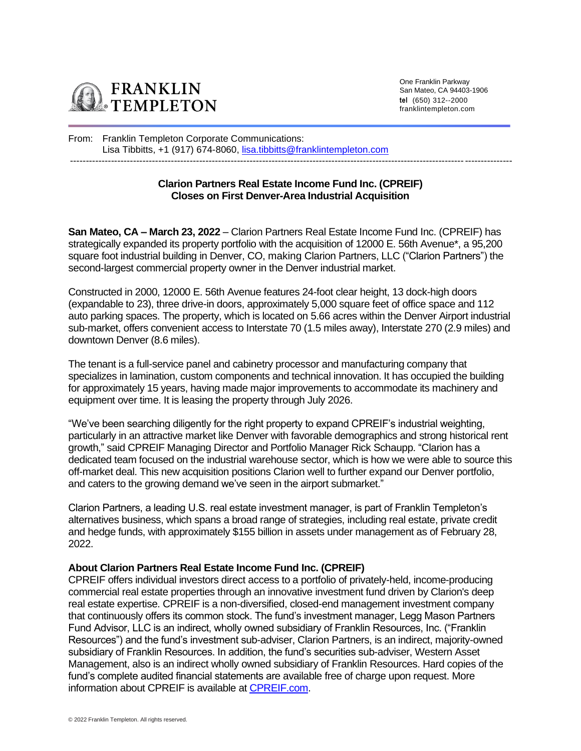

One Franklin Parkway San Mateo, CA 94403-1906 **tel** (650) 312--2000 franklintempleton.com

From: Franklin Templeton Corporate Communications: Lisa Tibbitts, +1 (917) 674-8060, [lisa.tibbitts@franklintempleton.com](mailto:lisa.tibbitts@franklintempleton.com) --------------------------------------------------------------------------------------------------------------------------------------------

## **Clarion Partners Real Estate Income Fund Inc. (CPREIF) Closes on First Denver-Area Industrial Acquisition**

**San Mateo, CA – March 23, 2022** – Clarion Partners Real Estate Income Fund Inc. (CPREIF) has strategically expanded its property portfolio with the acquisition of 12000 E. 56th Avenue\*, a 95,200 square foot industrial building in Denver, CO, making Clarion Partners, LLC ("Clarion Partners") the second-largest commercial property owner in the Denver industrial market.

Constructed in 2000, 12000 E. 56th Avenue features 24-foot clear height, 13 dock-high doors (expandable to 23), three drive-in doors, approximately 5,000 square feet of office space and 112 auto parking spaces. The property, which is located on 5.66 acres within the Denver Airport industrial sub-market, offers convenient access to Interstate 70 (1.5 miles away), Interstate 270 (2.9 miles) and downtown Denver (8.6 miles).

The tenant is a full-service panel and cabinetry processor and manufacturing company that specializes in lamination, custom components and technical innovation. It has occupied the building for approximately 15 years, having made major improvements to accommodate its machinery and equipment over time. It is leasing the property through July 2026.

"We've been searching diligently for the right property to expand CPREIF's industrial weighting, particularly in an attractive market like Denver with favorable demographics and strong historical rent growth," said CPREIF Managing Director and Portfolio Manager Rick Schaupp. "Clarion has a dedicated team focused on the industrial warehouse sector, which is how we were able to source this off-market deal. This new acquisition positions Clarion well to further expand our Denver portfolio, and caters to the growing demand we've seen in the airport submarket."

Clarion Partners, a leading U.S. real estate investment manager, is part of Franklin Templeton's alternatives business, which spans a broad range of strategies, including real estate, private credit and hedge funds, with approximately \$155 billion in assets under management as of February 28, 2022.

## **About Clarion Partners Real Estate Income Fund Inc. (CPREIF)**

CPREIF offers individual investors direct access to a portfolio of privately-held, income-producing commercial real estate properties through an innovative investment fund driven by Clarion's deep real estate expertise. CPREIF is a non-diversified, closed-end management investment company that continuously offers its common stock. The fund's investment manager, Legg Mason Partners Fund Advisor, LLC is an indirect, wholly owned subsidiary of Franklin Resources, Inc. ("Franklin Resources") and the fund's investment sub-adviser, Clarion Partners, is an indirect, majority-owned subsidiary of Franklin Resources. In addition, the fund's securities sub-adviser, Western Asset Management, also is an indirect wholly owned subsidiary of Franklin Resources. Hard copies of the fund's complete audited financial statements are available free of charge upon request. More information about CPREIF is available at [CPREIF.com.](https://www.cpreif.com/)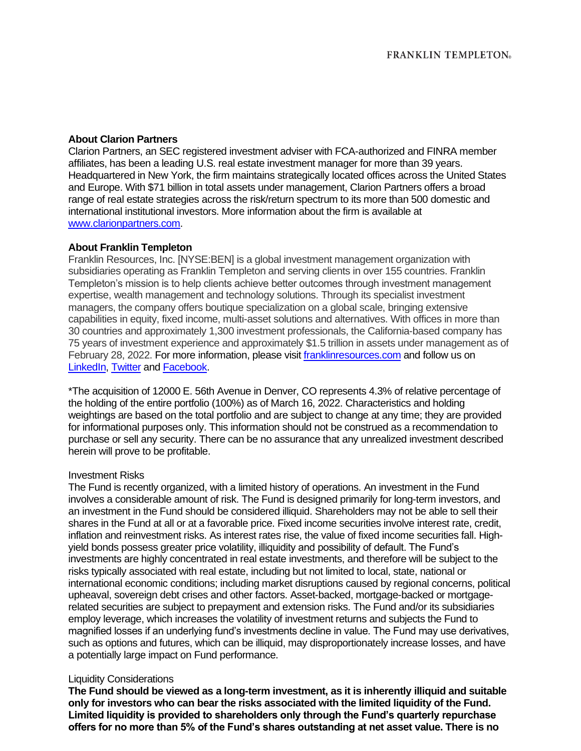# **About Clarion Partners**

Clarion Partners, an SEC registered investment adviser with FCA-authorized and FINRA member affiliates, has been a leading U.S. real estate investment manager for more than 39 years. Headquartered in New York, the firm maintains strategically located offices across the United States and Europe. With \$71 billion in total assets under management, Clarion Partners offers a broad range of real estate strategies across the risk/return spectrum to its more than 500 domestic and international institutional investors. More information about the firm is available at [www.clarionpartners.com.](https://www.clarionpartners.com/Pages/default.aspx)

## **About Franklin Templeton**

Franklin Resources, Inc. [NYSE:BEN] is a global investment management organization with subsidiaries operating as Franklin Templeton and serving clients in over 155 countries. Franklin Templeton's mission is to help clients achieve better outcomes through investment management expertise, wealth management and technology solutions. Through its specialist investment managers, the company offers boutique specialization on a global scale, bringing extensive capabilities in equity, fixed income, multi-asset solutions and alternatives. With offices in more than 30 countries and approximately 1,300 investment professionals, the California-based company has 75 years of investment experience and approximately \$1.5 trillion in assets under management as of February 28, 2022. For more information, please visit [franklinresources.com](https://urldefense.proofpoint.com/v2/url?u=http-3A__franklinresources.com&d=DwMFAg&c=PMBNytmjBbkRgFcdMTUT4Q&r=SrT8MG32j5MCV8Aj535r_SzAcgdJljlot_fvUr_dKbg&m=KLR-45kBbVSsTnKxXLonAZIETjbPc20gPiDvmmySALw&s=WihpbNQQcljcfNcxobHbAyJWlDS3RSXbelilO-lWCHk&e=) and follow us on [LinkedIn,](https://www.linkedin.com/company/franklin-templeton/) [Twitter](https://twitter.com/FTI_US) an[d Facebook.](https://www.facebook.com/franklintempleton/)

\*The acquisition of 12000 E. 56th Avenue in Denver, CO represents 4.3% of relative percentage of the holding of the entire portfolio (100%) as of March 16, 2022. Characteristics and holding weightings are based on the total portfolio and are subject to change at any time; they are provided for informational purposes only. This information should not be construed as a recommendation to purchase or sell any security. There can be no assurance that any unrealized investment described herein will prove to be profitable.

## Investment Risks

The Fund is recently organized, with a limited history of operations. An investment in the Fund involves a considerable amount of risk. The Fund is designed primarily for long-term investors, and an investment in the Fund should be considered illiquid. Shareholders may not be able to sell their shares in the Fund at all or at a favorable price. Fixed income securities involve interest rate, credit, inflation and reinvestment risks. As interest rates rise, the value of fixed income securities fall. Highyield bonds possess greater price volatility, illiquidity and possibility of default. The Fund's investments are highly concentrated in real estate investments, and therefore will be subject to the risks typically associated with real estate, including but not limited to local, state, national or international economic conditions; including market disruptions caused by regional concerns, political upheaval, sovereign debt crises and other factors. Asset-backed, mortgage-backed or mortgagerelated securities are subject to prepayment and extension risks. The Fund and/or its subsidiaries employ leverage, which increases the volatility of investment returns and subjects the Fund to magnified losses if an underlying fund's investments decline in value. The Fund may use derivatives, such as options and futures, which can be illiquid, may disproportionately increase losses, and have a potentially large impact on Fund performance.

## Liquidity Considerations

**The Fund should be viewed as a long-term investment, as it is inherently illiquid and suitable only for investors who can bear the risks associated with the limited liquidity of the Fund. Limited liquidity is provided to shareholders only through the Fund's quarterly repurchase offers for no more than 5% of the Fund's shares outstanding at net asset value. There is no**